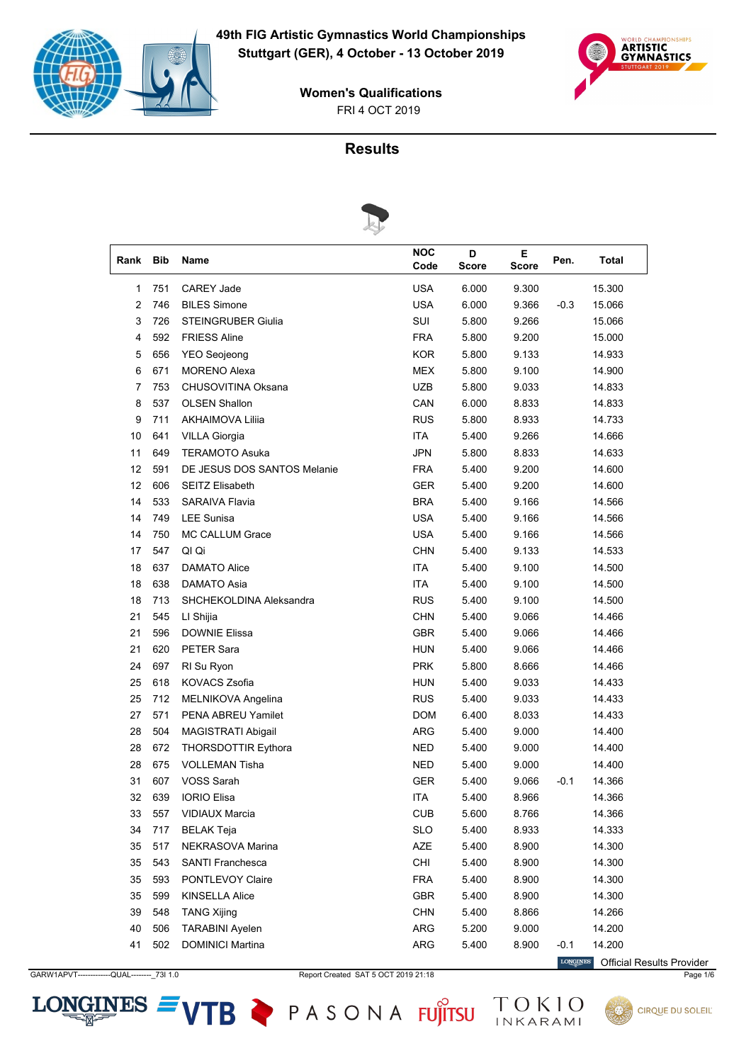



# **Results**



| Rank | <b>Bib</b> | <b>Name</b>                 | <b>NOC</b><br>Code | D<br>Score | E.<br><b>Score</b> | Pen.   | Total  |
|------|------------|-----------------------------|--------------------|------------|--------------------|--------|--------|
| 1    | 751        | <b>CAREY Jade</b>           | <b>USA</b>         | 6.000      | 9.300              |        | 15.300 |
| 2    | 746        | <b>BILES Simone</b>         | <b>USA</b>         | 6.000      | 9.366              | $-0.3$ | 15.066 |
| 3    | 726        | <b>STEINGRUBER Giulia</b>   | SUI                | 5.800      | 9.266              |        | 15.066 |
| 4    | 592        | <b>FRIESS Aline</b>         | <b>FRA</b>         | 5.800      | 9.200              |        | 15.000 |
| 5    | 656        | <b>YEO Seojeong</b>         | <b>KOR</b>         | 5.800      | 9.133              |        | 14.933 |
| 6    | 671        | <b>MORENO Alexa</b>         | <b>MEX</b>         | 5.800      | 9.100              |        | 14.900 |
| 7    | 753        | CHUSOVITINA Oksana          | <b>UZB</b>         | 5.800      | 9.033              |        | 14.833 |
| 8    | 537        | <b>OLSEN Shallon</b>        | CAN                | 6.000      | 8.833              |        | 14.833 |
| 9    | 711        | <b>AKHAIMOVA Lilija</b>     | <b>RUS</b>         | 5.800      | 8.933              |        | 14.733 |
| 10   | 641        | <b>VILLA Giorgia</b>        | <b>ITA</b>         | 5.400      | 9.266              |        | 14.666 |
| 11   | 649        | <b>TERAMOTO Asuka</b>       | <b>JPN</b>         | 5.800      | 8.833              |        | 14.633 |
| 12   | 591        | DE JESUS DOS SANTOS Melanie | <b>FRA</b>         | 5.400      | 9.200              |        | 14.600 |
| 12   | 606        | <b>SEITZ Elisabeth</b>      | GER                | 5.400      | 9.200              |        | 14.600 |
| 14   | 533        | <b>SARAIVA Flavia</b>       | <b>BRA</b>         | 5.400      | 9.166              |        | 14.566 |
| 14   | 749        | <b>LEE Sunisa</b>           | <b>USA</b>         | 5.400      | 9.166              |        | 14.566 |
| 14   | 750        | MC CALLUM Grace             | <b>USA</b>         | 5.400      | 9.166              |        | 14.566 |
| 17   | 547        | QI Qi                       | <b>CHN</b>         | 5.400      | 9.133              |        | 14.533 |
| 18   | 637        | <b>DAMATO Alice</b>         | <b>ITA</b>         | 5.400      | 9.100              |        | 14.500 |
| 18   | 638        | DAMATO Asia                 | <b>ITA</b>         | 5.400      | 9.100              |        | 14.500 |
| 18   | 713        | SHCHEKOLDINA Aleksandra     | <b>RUS</b>         | 5.400      | 9.100              |        | 14.500 |
| 21   | 545        | LI Shijia                   | <b>CHN</b>         | 5.400      | 9.066              |        | 14.466 |
| 21   | 596        | <b>DOWNIE Elissa</b>        | <b>GBR</b>         | 5.400      | 9.066              |        | 14.466 |
| 21   | 620        | PETER Sara                  | <b>HUN</b>         | 5.400      | 9.066              |        | 14.466 |
| 24   | 697        | RI Su Ryon                  | <b>PRK</b>         | 5.800      | 8.666              |        | 14.466 |
| 25   | 618        | KOVACS Zsofia               | <b>HUN</b>         | 5.400      | 9.033              |        | 14.433 |
| 25   | 712        | MELNIKOVA Angelina          | <b>RUS</b>         | 5.400      | 9.033              |        | 14.433 |
| 27   | 571        | <b>PENA ABREU Yamilet</b>   | <b>DOM</b>         | 6.400      | 8.033              |        | 14.433 |
| 28   | 504        | MAGISTRATI Abigail          | <b>ARG</b>         | 5.400      | 9.000              |        | 14.400 |
| 28   | 672        | THORSDOTTIR Eythora         | <b>NED</b>         | 5.400      | 9.000              |        | 14.400 |
| 28   | 675        | <b>VOLLEMAN Tisha</b>       | <b>NED</b>         | 5.400      | 9.000              |        | 14.400 |
| 31   | 607        | <b>VOSS Sarah</b>           | <b>GER</b>         | 5.400      | 9.066              | $-0.1$ | 14.366 |
| 32   | 639        | <b>IORIO Elisa</b>          | ITA                | 5.400      | 8.966              |        | 14.366 |
| 33   | 557        | <b>VIDIAUX Marcia</b>       | <b>CUB</b>         | 5.600      | 8.766              |        | 14.366 |
| 34   | 717        | <b>BELAK Teja</b>           | <b>SLO</b>         | 5.400      | 8.933              |        | 14.333 |
| 35   | 517        | NEKRASOVA Marina            | AZE                | 5.400      | 8.900              |        | 14.300 |
| 35   | 543        | SANTI Franchesca            | CHI                | 5.400      | 8.900              |        | 14.300 |
| 35   | 593        | PONTLEVOY Claire            | <b>FRA</b>         | 5.400      | 8.900              |        | 14.300 |
| 35   | 599        | <b>KINSELLA Alice</b>       | GBR                | 5.400      | 8.900              |        | 14.300 |
| 39   | 548        | <b>TANG Xijing</b>          | <b>CHN</b>         | 5.400      | 8.866              |        | 14.266 |
| 40   | 506        | <b>TARABINI Ayelen</b>      | <b>ARG</b>         | 5.200      | 9.000              |        | 14.200 |
| 41   | 502        | <b>DOMINICI Martina</b>     | ARG                | 5.400      | 8.900              | $-0.1$ | 14.200 |

GARW1APVT------------QUAL---------\_73I 1.0 Report Created SAT 5 OCT 2019 21:18 Page 1/6

 $LONGINES =$ 

VTB PASONA FUJITSU TOKIO

**LONGINES** Official Results Provider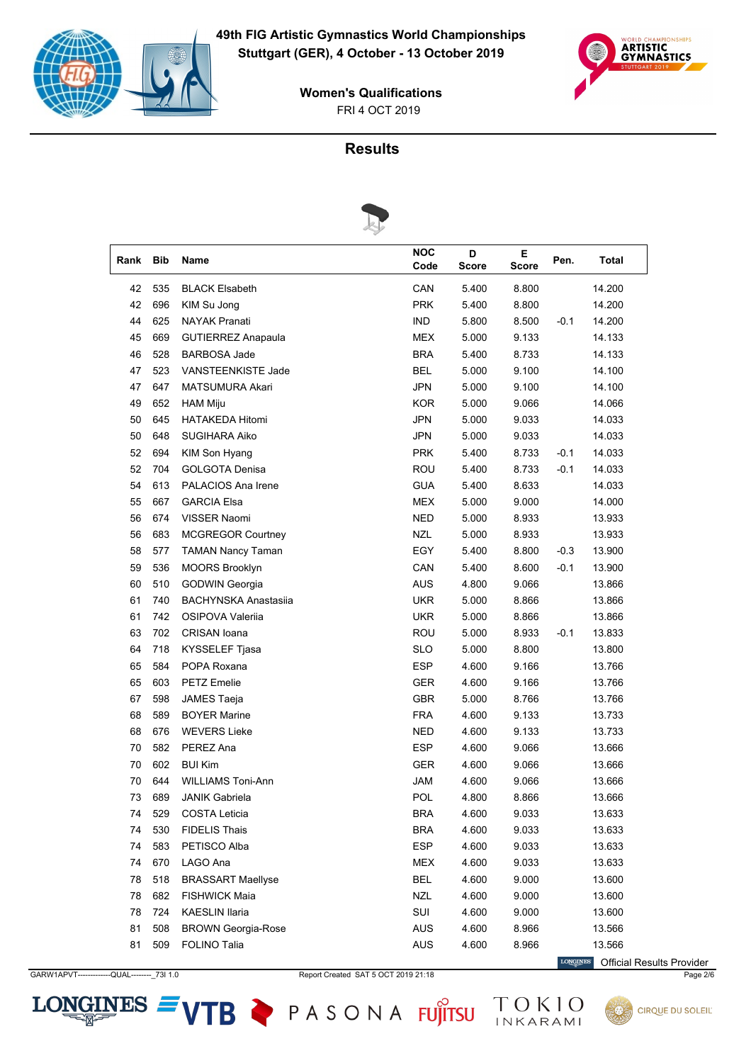



# **Results**



|      |            | s                           |                    |            |            |        |              |
|------|------------|-----------------------------|--------------------|------------|------------|--------|--------------|
| Rank | <b>Bib</b> | Name                        | <b>NOC</b><br>Code | D<br>Score | Е<br>Score | Pen.   | <b>Total</b> |
| 42   | 535        | <b>BLACK Elsabeth</b>       | CAN                | 5.400      | 8.800      |        | 14.200       |
| 42   | 696        | KIM Su Jong                 | <b>PRK</b>         | 5.400      | 8.800      |        | 14.200       |
| 44   | 625        | <b>NAYAK Pranati</b>        | <b>IND</b>         | 5.800      | 8.500      | $-0.1$ | 14.200       |
| 45   | 669        | <b>GUTIERREZ Anapaula</b>   | MEX                | 5.000      | 9.133      |        | 14.133       |
| 46   | 528        | <b>BARBOSA Jade</b>         | <b>BRA</b>         | 5.400      | 8.733      |        | 14.133       |
| 47   | 523        | VANSTEENKISTE Jade          | <b>BEL</b>         | 5.000      | 9.100      |        | 14.100       |
| 47   | 647        | MATSUMURA Akari             | <b>JPN</b>         | 5.000      | 9.100      |        | 14.100       |
| 49   | 652        | <b>HAM Miju</b>             | <b>KOR</b>         | 5.000      | 9.066      |        | 14.066       |
| 50   | 645        | <b>HATAKEDA Hitomi</b>      | <b>JPN</b>         | 5.000      | 9.033      |        | 14.033       |
| 50   | 648        | <b>SUGIHARA Aiko</b>        | <b>JPN</b>         | 5.000      | 9.033      |        | 14.033       |
| 52   | 694        | KIM Son Hyang               | <b>PRK</b>         | 5.400      | 8.733      | $-0.1$ | 14.033       |
| 52   | 704        | <b>GOLGOTA Denisa</b>       | ROU                | 5.400      | 8.733      | $-0.1$ | 14.033       |
| 54   | 613        | PALACIOS Ana Irene          | <b>GUA</b>         | 5.400      | 8.633      |        | 14.033       |
| 55   | 667        | <b>GARCIA Elsa</b>          | <b>MEX</b>         | 5.000      | 9.000      |        | 14.000       |
| 56   | 674        | VISSER Naomi                | <b>NED</b>         | 5.000      | 8.933      |        | 13.933       |
| 56   | 683        | MCGREGOR Courtney           | <b>NZL</b>         | 5.000      | 8.933      |        | 13.933       |
| 58   | 577        | <b>TAMAN Nancy Taman</b>    | EGY                | 5.400      | 8.800      | $-0.3$ | 13.900       |
| 59   | 536        | <b>MOORS Brooklyn</b>       | CAN                | 5.400      | 8.600      | $-0.1$ | 13.900       |
| 60   | 510        | <b>GODWIN Georgia</b>       | <b>AUS</b>         | 4.800      | 9.066      |        | 13.866       |
| 61   | 740        | <b>BACHYNSKA Anastasiia</b> | <b>UKR</b>         | 5.000      | 8.866      |        | 13.866       |
| 61   | 742        | OSIPOVA Valerija            | <b>UKR</b>         | 5.000      | 8.866      |        | 13.866       |
| 63   | 702        | <b>CRISAN</b> Ioana         | ROU                | 5.000      | 8.933      | $-0.1$ | 13.833       |
| 64   | 718        | KYSSELEF Tjasa              | <b>SLO</b>         | 5.000      | 8.800      |        | 13.800       |
| 65   | 584        | POPA Roxana                 | <b>ESP</b>         | 4.600      | 9.166      |        | 13.766       |
| 65   | 603        | <b>PETZ Emelie</b>          | <b>GER</b>         | 4.600      | 9.166      |        | 13.766       |
| 67   | 598        | JAMES Taeja                 | <b>GBR</b>         | 5.000      | 8.766      |        | 13.766       |
| 68   | 589        | <b>BOYER Marine</b>         | <b>FRA</b>         | 4.600      | 9.133      |        | 13.733       |
| 68   | 676        | <b>WEVERS Lieke</b>         | NED                | 4.600      | 9.133      |        | 13.733       |
| 70   | 582        | PEREZ Ana                   | <b>ESP</b>         | 4.600      | 9.066      |        | 13.666       |
| 70   | 602        | <b>BUI Kim</b>              | <b>GER</b>         | 4.600      | 9.066      |        | 13.666       |
| 70   | 644        | <b>WILLIAMS Toni-Ann</b>    | <b>JAM</b>         | 4.600      | 9.066      |        | 13.666       |
| 73   | 689        | <b>JANIK Gabriela</b>       | <b>POL</b>         | 4.800      | 8.866      |        | 13.666       |
| 74   | 529        | <b>COSTA Leticia</b>        | <b>BRA</b>         | 4.600      | 9.033      |        | 13.633       |
| 74   | 530        | FIDELIS Thais               | <b>BRA</b>         | 4.600      | 9.033      |        | 13.633       |
| 74   | 583        | PETISCO Alba                | <b>ESP</b>         | 4.600      | 9.033      |        | 13.633       |
| 74   | 670        | LAGO Ana                    | <b>MEX</b>         | 4.600      | 9.033      |        | 13.633       |
| 78   | 518        | <b>BRASSART Maellyse</b>    | <b>BEL</b>         | 4.600      | 9.000      |        | 13.600       |
| 78   | 682        | <b>FISHWICK Maia</b>        | <b>NZL</b>         | 4.600      | 9.000      |        | 13.600       |
| 78   | 724        | <b>KAESLIN Ilaria</b>       | SUI                | 4.600      | 9.000      |        | 13.600       |
| 81   | 508        | <b>BROWN Georgia-Rose</b>   | AUS                | 4.600      | 8.966      |        | 13.566       |
| 81   | 509        | FOLINO Talia                | AUS                | 4.600      | 8.966      |        | 13.566       |

GARW1APVT------------QUAL---------\_73I 1.0 Report Created SAT 5 OCT 2019 21:18 Page 2/6

 $LONGINES =$ 

VTB PASONA FUJITSU TOKIO

**LONGINES** Official Results Provider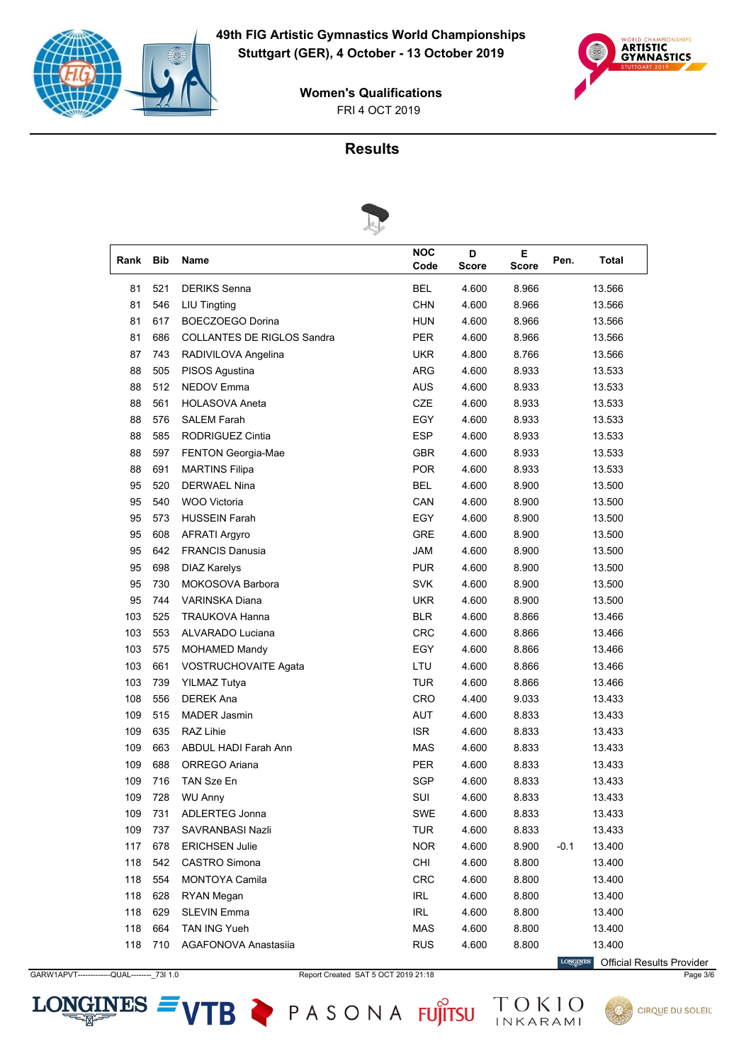



# **Results**



| Rank | <b>Bib</b> | Name                              | <b>NOC</b><br>Code | D<br>Score | E.<br><b>Score</b> | Pen.   | Total  |
|------|------------|-----------------------------------|--------------------|------------|--------------------|--------|--------|
| 81   | 521        | <b>DERIKS Senna</b>               | <b>BEL</b>         | 4.600      | 8.966              |        | 13.566 |
| 81   | 546        | <b>LIU Tingting</b>               | <b>CHN</b>         | 4.600      | 8.966              |        | 13.566 |
| 81   | 617        | BOECZOEGO Dorina                  | <b>HUN</b>         | 4.600      | 8.966              |        | 13.566 |
| 81   | 686        | <b>COLLANTES DE RIGLOS Sandra</b> | <b>PER</b>         | 4.600      | 8.966              |        | 13.566 |
| 87   | 743        | RADIVILOVA Angelina               | <b>UKR</b>         | 4.800      | 8.766              |        | 13.566 |
| 88   | 505        | PISOS Agustina                    | ARG                | 4.600      | 8.933              |        | 13.533 |
| 88   | 512        | <b>NEDOV Emma</b>                 | <b>AUS</b>         | 4.600      | 8.933              |        | 13.533 |
| 88   | 561        | <b>HOLASOVA Aneta</b>             | CZE                | 4.600      | 8.933              |        | 13.533 |
| 88   | 576        | <b>SALEM Farah</b>                | EGY                | 4.600      | 8.933              |        | 13.533 |
| 88   | 585        | RODRIGUEZ Cintia                  | <b>ESP</b>         | 4.600      | 8.933              |        | 13.533 |
| 88   | 597        | FENTON Georgia-Mae                | <b>GBR</b>         | 4.600      | 8.933              |        | 13.533 |
| 88   | 691        | <b>MARTINS Filipa</b>             | <b>POR</b>         | 4.600      | 8.933              |        | 13.533 |
| 95   | 520        | <b>DERWAEL Nina</b>               | <b>BEL</b>         | 4.600      | 8.900              |        | 13.500 |
| 95   | 540        | <b>WOO Victoria</b>               | CAN                | 4.600      | 8.900              |        | 13.500 |
| 95   | 573        | <b>HUSSEIN Farah</b>              | EGY                | 4.600      | 8.900              |        | 13.500 |
| 95   | 608        | <b>AFRATI Argyro</b>              | <b>GRE</b>         | 4.600      | 8.900              |        | 13.500 |
| 95   | 642        | <b>FRANCIS Danusia</b>            | <b>JAM</b>         | 4.600      | 8.900              |        | 13.500 |
| 95   | 698        | <b>DIAZ Karelys</b>               | <b>PUR</b>         | 4.600      | 8.900              |        | 13.500 |
| 95   | 730        | MOKOSOVA Barbora                  | <b>SVK</b>         | 4.600      | 8.900              |        | 13.500 |
| 95   | 744        | <b>VARINSKA Diana</b>             | <b>UKR</b>         | 4.600      | 8.900              |        | 13.500 |
| 103  | 525        | <b>TRAUKOVA Hanna</b>             | <b>BLR</b>         | 4.600      | 8.866              |        | 13.466 |
| 103  | 553        | ALVARADO Luciana                  | <b>CRC</b>         | 4.600      | 8.866              |        | 13.466 |
| 103  | 575        | <b>MOHAMED Mandy</b>              | EGY                | 4.600      | 8.866              |        | 13.466 |
| 103  | 661        | VOSTRUCHOVAITE Agata              | LTU                | 4.600      | 8.866              |        | 13.466 |
| 103  | 739        | <b>YILMAZ Tutya</b>               | <b>TUR</b>         | 4.600      | 8.866              |        | 13.466 |
| 108  | 556        | <b>DEREK Ana</b>                  | CRO                | 4.400      | 9.033              |        | 13.433 |
| 109  | 515        | <b>MADER Jasmin</b>               | AUT                | 4.600      | 8.833              |        | 13.433 |
| 109  | 635        | RAZ Lihie                         | <b>ISR</b>         | 4.600      | 8.833              |        | 13.433 |
| 109  | 663        | <b>ABDUL HADI Farah Ann</b>       | <b>MAS</b>         | 4.600      | 8.833              |        | 13.433 |
| 109  | 688        | ORREGO Ariana                     | PER                | 4.600      | 8.833              |        | 13.433 |
| 109  | 716        | TAN Sze En                        | SGP                | 4.600      | 8.833              |        | 13.433 |
| 109  | 728        | <b>WU Anny</b>                    | SUI                | 4.600      | 8.833              |        | 13.433 |
| 109  | 731        | ADLERTEG Jonna                    | SWE                | 4.600      | 8.833              |        | 13.433 |
| 109  | 737        | SAVRANBASI Nazli                  | <b>TUR</b>         | 4.600      | 8.833              |        | 13.433 |
| 117  | 678        | <b>ERICHSEN Julie</b>             | <b>NOR</b>         | 4.600      | 8.900              | $-0.1$ | 13.400 |
| 118  | 542        | <b>CASTRO Simona</b>              | CHI                | 4.600      | 8.800              |        | 13.400 |
| 118  | 554        | <b>MONTOYA Camila</b>             | CRC                | 4.600      | 8.800              |        | 13.400 |
| 118  | 628        | RYAN Megan                        | IRL                | 4.600      | 8.800              |        | 13.400 |
| 118  | 629        | <b>SLEVIN Emma</b>                | <b>IRL</b>         | 4.600      | 8.800              |        | 13.400 |
| 118  | 664        | TAN ING Yueh                      | MAS                | 4.600      | 8.800              |        | 13.400 |
| 118  | 710        | <b>AGAFONOVA Anastasija</b>       | <b>RUS</b>         | 4.600      | 8.800              |        | 13.400 |

GARW1APVT------------QUAL---------\_73I 1.0 Report Created SAT 5 OCT 2019 21:18 Page 3/6

 $LONGINES =$ 

VTB PASONA FUJITSU TOKIO

**LONGINES** Official Results Provider

**CIRQUE DU SOLEIL**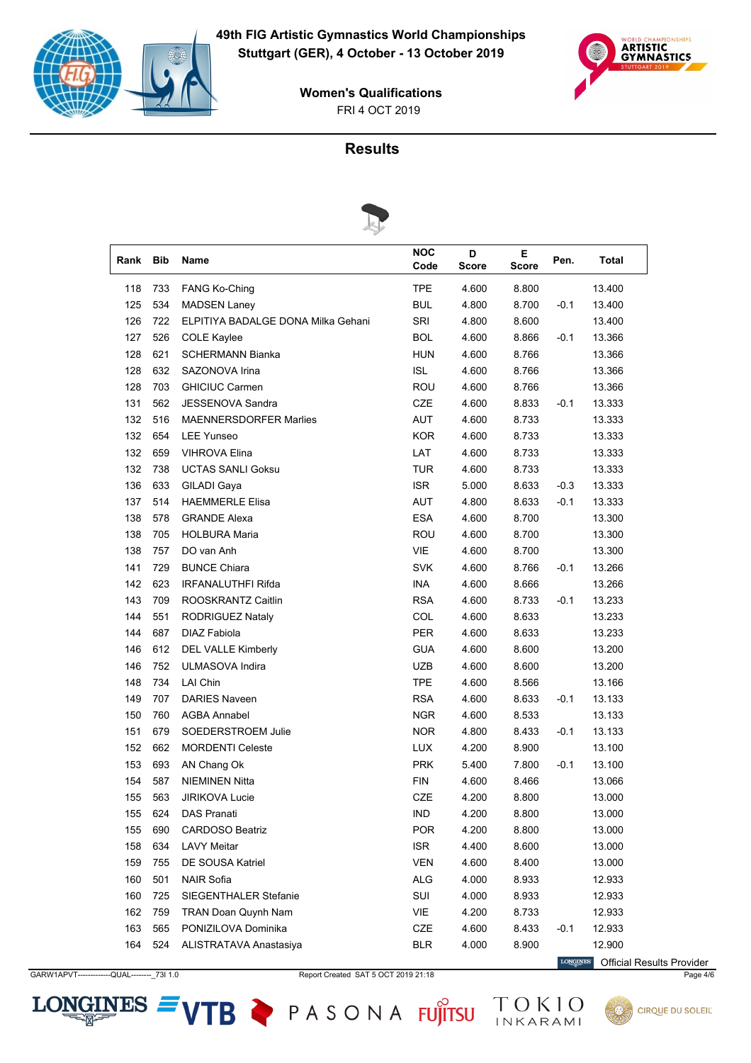



### **Results**



| Rank | <b>Bib</b> | Name                               | <b>NOC</b><br>Code | D<br><b>Score</b> | E.<br><b>Score</b> | Pen.   | <b>Total</b> |
|------|------------|------------------------------------|--------------------|-------------------|--------------------|--------|--------------|
| 118  | 733        | <b>FANG Ko-Ching</b>               | <b>TPE</b>         | 4.600             | 8.800              |        | 13.400       |
| 125  | 534        | <b>MADSEN Laney</b>                | <b>BUL</b>         | 4.800             | 8.700              | $-0.1$ | 13.400       |
| 126  | 722        | ELPITIYA BADALGE DONA Milka Gehani | SRI                | 4.800             | 8.600              |        | 13.400       |
| 127  | 526        | <b>COLE Kaylee</b>                 | <b>BOL</b>         | 4.600             | 8.866              | $-0.1$ | 13.366       |
| 128  | 621        | <b>SCHERMANN Bianka</b>            | HUN                | 4.600             | 8.766              |        | 13.366       |
| 128  | 632        | SAZONOVA Irina                     | <b>ISL</b>         | 4.600             | 8.766              |        | 13.366       |
| 128  | 703        | <b>GHICIUC Carmen</b>              | ROU                | 4.600             | 8.766              |        | 13.366       |
| 131  | 562        | <b>JESSENOVA Sandra</b>            | CZE                | 4.600             | 8.833              | $-0.1$ | 13.333       |
| 132  | 516        | <b>MAENNERSDORFER Marlies</b>      | AUT                | 4.600             | 8.733              |        | 13.333       |
| 132  | 654        | <b>LEE Yunseo</b>                  | <b>KOR</b>         | 4.600             | 8.733              |        | 13.333       |
| 132  | 659        | <b>VIHROVA Elina</b>               | LAT                | 4.600             | 8.733              |        | 13.333       |
| 132  | 738        | <b>UCTAS SANLI Goksu</b>           | <b>TUR</b>         | 4.600             | 8.733              |        | 13.333       |
| 136  | 633        | <b>GILADI</b> Gaya                 | <b>ISR</b>         | 5.000             | 8.633              | $-0.3$ | 13.333       |
| 137  | 514        | <b>HAEMMERLE Elisa</b>             | AUT                | 4.800             | 8.633              | $-0.1$ | 13.333       |
| 138  | 578        | <b>GRANDE Alexa</b>                | <b>ESA</b>         | 4.600             | 8.700              |        | 13.300       |
| 138  | 705        | <b>HOLBURA Maria</b>               | ROU                | 4.600             | 8.700              |        | 13.300       |
| 138  | 757        | DO van Anh                         | <b>VIE</b>         | 4.600             | 8.700              |        | 13.300       |
| 141  | 729        | <b>BUNCE Chiara</b>                | <b>SVK</b>         | 4.600             | 8.766              | $-0.1$ | 13.266       |
| 142  | 623        | <b>IRFANALUTHFI Rifda</b>          | INA                | 4.600             | 8.666              |        | 13.266       |
| 143  | 709        | ROOSKRANTZ Caitlin                 | <b>RSA</b>         | 4.600             | 8.733              | $-0.1$ | 13.233       |
| 144  | 551        | <b>RODRIGUEZ Nataly</b>            | COL                | 4.600             | 8.633              |        | 13.233       |
| 144  | 687        | <b>DIAZ Fabiola</b>                | <b>PER</b>         | 4.600             | 8.633              |        | 13.233       |
| 146  | 612        | <b>DEL VALLE Kimberly</b>          | <b>GUA</b>         | 4.600             | 8.600              |        | 13.200       |
| 146  | 752        | ULMASOVA Indira                    | <b>UZB</b>         | 4.600             | 8.600              |        | 13.200       |
| 148  | 734        | <b>LAI Chin</b>                    | <b>TPE</b>         | 4.600             | 8.566              |        | 13.166       |
| 149  | 707        | <b>DARIES Naveen</b>               | <b>RSA</b>         | 4.600             | 8.633              | $-0.1$ | 13.133       |
| 150  | 760        | <b>AGBA Annabel</b>                | <b>NGR</b>         | 4.600             | 8.533              |        | 13.133       |
| 151  | 679        | SOEDERSTROEM Julie                 | <b>NOR</b>         | 4.800             | 8.433              | $-0.1$ | 13.133       |
| 152  | 662        | <b>MORDENTI Celeste</b>            | <b>LUX</b>         | 4.200             | 8.900              |        | 13.100       |
| 153  | 693        | AN Chang Ok                        | <b>PRK</b>         | 5.400             | 7.800              | $-0.1$ | 13.100       |
| 154  | 587        | <b>NIEMINEN Nitta</b>              | <b>FIN</b>         | 4.600             | 8.466              |        | 13.066       |
| 155  | 563        | <b>JIRIKOVA Lucie</b>              | CZE                | 4.200             | 8.800              |        | 13.000       |
| 155  | 624        | <b>DAS Pranati</b>                 | IND                | 4.200             | 8.800              |        | 13.000       |
| 155  | 690        | <b>CARDOSO Beatriz</b>             | <b>POR</b>         | 4.200             | 8.800              |        | 13.000       |
| 158  | 634        | <b>LAVY Meitar</b>                 | <b>ISR</b>         | 4.400             | 8.600              |        | 13.000       |
| 159  | 755        | DE SOUSA Katriel                   | <b>VEN</b>         | 4.600             | 8.400              |        | 13.000       |
| 160  | 501        | <b>NAIR Sofia</b>                  | ALG                | 4.000             | 8.933              |        | 12.933       |
| 160  | 725        | SIEGENTHALER Stefanie              | SUI                | 4.000             | 8.933              |        | 12.933       |
| 162  | 759        | TRAN Doan Quynh Nam                | VIE                | 4.200             | 8.733              |        | 12.933       |
| 163  | 565        | PONIZILOVA Dominika                | CZE                | 4.600             | 8.433              | $-0.1$ | 12.933       |
| 164  | 524        | ALISTRATAVA Anastasiya             | <b>BLR</b>         | 4.000             | 8.900              |        | 12.900       |

GARW1APVT------------QUAL---------\_73I 1.0 Report Created SAT 5 OCT 2019 21:18 Page 4/6

 $LONGINES =$ 

VTB PASONA FUJITSU TOKIO

**LONGINES** Official Results Provider

**CIRQUE DU SOLEIL**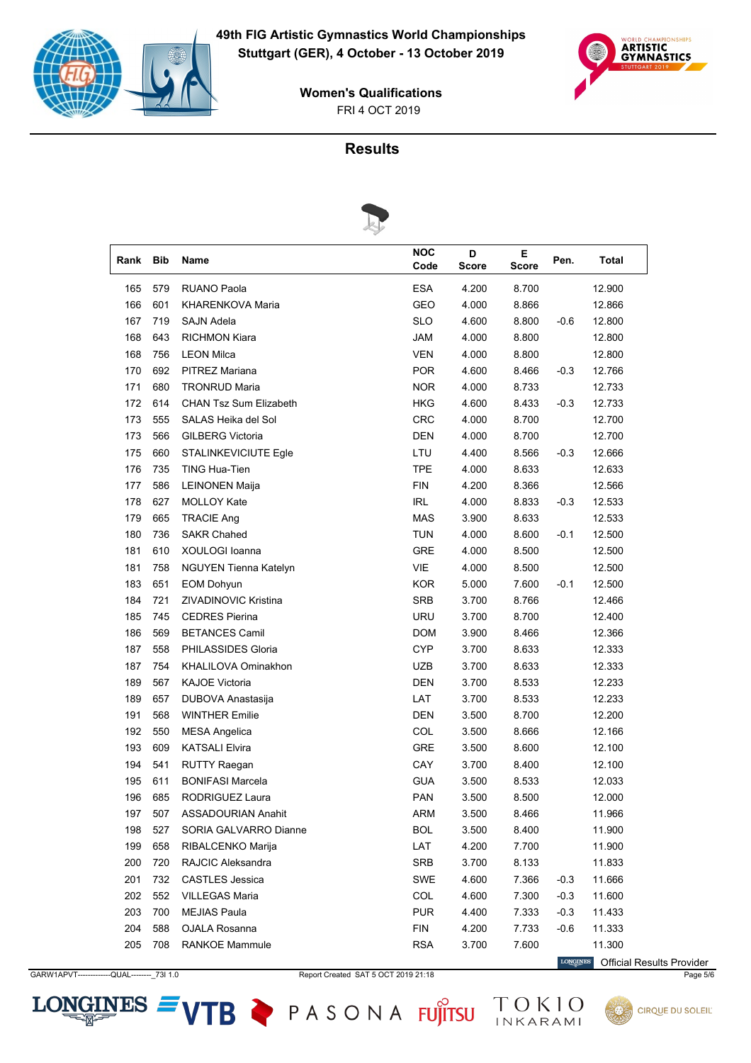



# **Results**



|      |            | $\sim$                        |                    |                   |            |        |              |
|------|------------|-------------------------------|--------------------|-------------------|------------|--------|--------------|
| Rank | <b>Bib</b> | Name                          | <b>NOC</b><br>Code | D<br><b>Score</b> | E<br>Score | Pen.   | <b>Total</b> |
| 165  | 579        | <b>RUANO Paola</b>            | <b>ESA</b>         | 4.200             | 8.700      |        | 12.900       |
| 166  | 601        | KHARENKOVA Maria              | <b>GEO</b>         | 4.000             | 8.866      |        | 12.866       |
| 167  | 719        | <b>SAJN Adela</b>             | <b>SLO</b>         | 4.600             | 8.800      | $-0.6$ | 12.800       |
| 168  | 643        | <b>RICHMON Kiara</b>          | <b>JAM</b>         | 4.000             | 8.800      |        | 12.800       |
| 168  | 756        | <b>LEON Milca</b>             | <b>VEN</b>         | 4.000             | 8.800      |        | 12.800       |
| 170  | 692        | PITREZ Mariana                | <b>POR</b>         | 4.600             | 8.466      | $-0.3$ | 12.766       |
| 171  | 680        | <b>TRONRUD Maria</b>          | <b>NOR</b>         | 4.000             | 8.733      |        | 12.733       |
| 172  | 614        | <b>CHAN Tsz Sum Elizabeth</b> | <b>HKG</b>         | 4.600             | 8.433      | $-0.3$ | 12.733       |
| 173  | 555        | SALAS Heika del Sol           | <b>CRC</b>         | 4.000             | 8.700      |        | 12.700       |
| 173  | 566        | <b>GILBERG Victoria</b>       | <b>DEN</b>         | 4.000             | 8.700      |        | 12.700       |
| 175  | 660        | <b>STALINKEVICIUTE Egle</b>   | LTU                | 4.400             | 8.566      | $-0.3$ | 12.666       |
| 176  | 735        | TING Hua-Tien                 | <b>TPE</b>         | 4.000             | 8.633      |        | 12.633       |
| 177  | 586        | <b>LEINONEN Maija</b>         | <b>FIN</b>         | 4.200             | 8.366      |        | 12.566       |
| 178  | 627        | <b>MOLLOY Kate</b>            | <b>IRL</b>         | 4.000             | 8.833      | $-0.3$ | 12.533       |
| 179  | 665        | <b>TRACIE Ang</b>             | <b>MAS</b>         | 3.900             | 8.633      |        | 12.533       |
| 180  | 736        | <b>SAKR Chahed</b>            | TUN                | 4.000             | 8.600      | $-0.1$ | 12.500       |
| 181  | 610        | XOULOGI Ioanna                | <b>GRE</b>         | 4.000             | 8.500      |        | 12.500       |
| 181  | 758        | NGUYEN Tienna Katelyn         | VIE                | 4.000             | 8.500      |        | 12.500       |
| 183  | 651        | <b>EOM Dohyun</b>             | <b>KOR</b>         | 5.000             | 7.600      | $-0.1$ | 12.500       |
| 184  | 721        | ZIVADINOVIC Kristina          | <b>SRB</b>         | 3.700             | 8.766      |        | 12.466       |
| 185  | 745        | <b>CEDRES Pierina</b>         | <b>URU</b>         | 3.700             | 8.700      |        | 12.400       |
| 186  | 569        | <b>BETANCES Camil</b>         | <b>DOM</b>         | 3.900             | 8.466      |        | 12.366       |
| 187  | 558        | PHILASSIDES Gloria            | <b>CYP</b>         | 3.700             | 8.633      |        | 12.333       |
| 187  | 754        | KHALILOVA Ominakhon           | <b>UZB</b>         | 3.700             | 8.633      |        | 12.333       |
| 189  | 567        | <b>KAJOE Victoria</b>         | <b>DEN</b>         | 3.700             | 8.533      |        | 12.233       |
| 189  | 657        | DUBOVA Anastasija             | LAT                | 3.700             | 8.533      |        | 12.233       |
| 191  | 568        | <b>WINTHER Emilie</b>         | <b>DEN</b>         | 3.500             | 8.700      |        | 12.200       |
| 192  | 550        | <b>MESA Angelica</b>          | COL                | 3.500             | 8.666      |        | 12.166       |
| 193  | 609        | <b>KATSALI Elvira</b>         | <b>GRE</b>         | 3.500             | 8.600      |        | 12.100       |
| 194  | 541        | <b>RUTTY Raegan</b>           | CAY                | 3.700             | 8.400      |        | 12.100       |
| 195  | 611        | <b>BONIFASI Marcela</b>       | <b>GUA</b>         | 3.500             | 8.533      |        | 12.033       |
| 196  | 685        | RODRIGUEZ Laura               | PAN                | 3.500             | 8.500      |        | 12.000       |
| 197  | 507        | ASSADOURIAN Anahit            | ARM                | 3.500             | 8.466      |        | 11.966       |
| 198  | 527        | SORIA GALVARRO Dianne         | <b>BOL</b>         | 3.500             | 8.400      |        | 11.900       |
| 199  | 658        | RIBALCENKO Marija             | LAT                | 4.200             | 7.700      |        | 11.900       |
| 200  | 720        | RAJCIC Aleksandra             | SRB                | 3.700             | 8.133      |        | 11.833       |
| 201  | 732        | <b>CASTLES</b> Jessica        | <b>SWE</b>         | 4.600             | 7.366      | $-0.3$ | 11.666       |
| 202  | 552        | <b>VILLEGAS Maria</b>         | COL                | 4.600             | 7.300      | $-0.3$ | 11.600       |
| 203  | 700        | <b>MEJIAS Paula</b>           | <b>PUR</b>         | 4.400             | 7.333      | $-0.3$ | 11.433       |
| 204  | 588        | OJALA Rosanna                 | <b>FIN</b>         | 4.200             | 7.733      | $-0.6$ | 11.333       |
| 205  | 708        | <b>RANKOE Mammule</b>         | <b>RSA</b>         | 3.700             | 7.600      |        | 11.300       |

GARW1APVT------------QUAL---------\_73I 1.0 Report Created SAT 5 OCT 2019 21:18 Page 5/6

**LONGINES** Official Results Provider